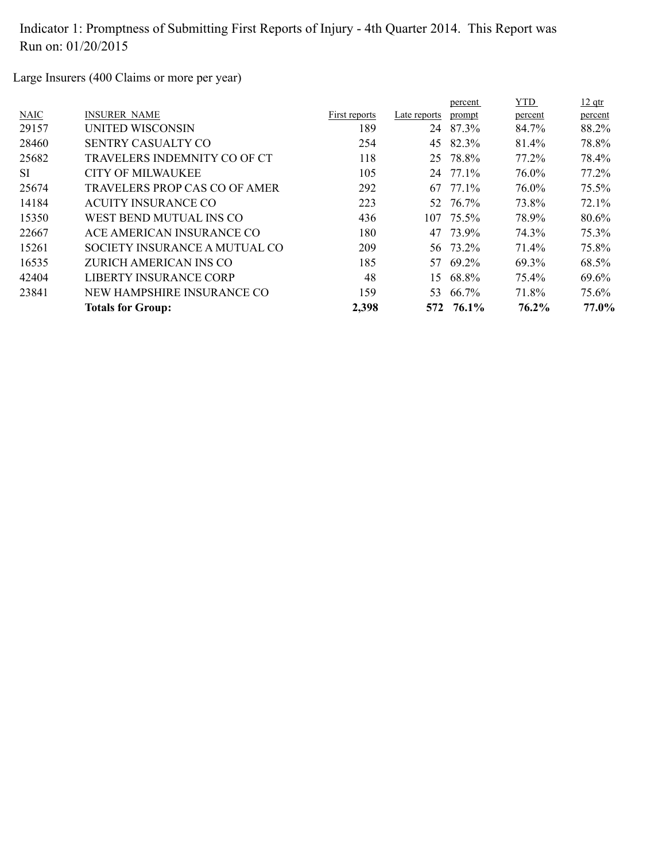Large Insurers (400 Claims or more per year)

|             |                               |               |              | percent   | <b>YTD</b> | $12$ qtr |
|-------------|-------------------------------|---------------|--------------|-----------|------------|----------|
| <b>NAIC</b> | <b>INSURER NAME</b>           | First reports | Late reports | prompt    | percent    | percent  |
| 29157       | UNITED WISCONSIN              | 189           | 24           | 87.3%     | 84.7%      | 88.2%    |
| 28460       | SENTRY CASUALTY CO            | 254           | 45           | 82.3%     | 81.4%      | 78.8%    |
| 25682       | TRAVELERS INDEMNITY CO OF CT  | 118           | 25           | 78.8%     | 77.2%      | 78.4%    |
| SI.         | <b>CITY OF MILWAUKEE</b>      | 105           |              | 24 77.1%  | 76.0%      | 77.2%    |
| 25674       | TRAVELERS PROP CAS CO OF AMER | 292           | 67           | 77.1%     | 76.0%      | 75.5%    |
| 14184       | ACUITY INSURANCE CO           | 223           |              | 52 76.7%  | 73.8%      | 72.1%    |
| 15350       | WEST BEND MUTUAL INS CO       | 436           |              | 107 75.5% | 78.9%      | 80.6%    |
| 22667       | ACE AMERICAN INSURANCE CO     | 180           | 47           | 73.9%     | 74.3%      | 75.3%    |
| 15261       | SOCIETY INSURANCE A MUTUAL CO | 209           |              | 56 73.2%  | 71.4%      | 75.8%    |
| 16535       | ZURICH AMERICAN INS CO        | 185           | 57           | 69.2%     | 69.3%      | 68.5%    |
| 42404       | LIBERTY INSURANCE CORP        | 48            | 15.          | 68.8%     | 75.4%      | 69.6%    |
| 23841       | NEW HAMPSHIRE INSURANCE CO    | 159           | 53           | 66.7%     | 71.8%      | 75.6%    |
|             | <b>Totals for Group:</b>      | 2,398         |              | 572 76.1% | 76.2%      | 77.0%    |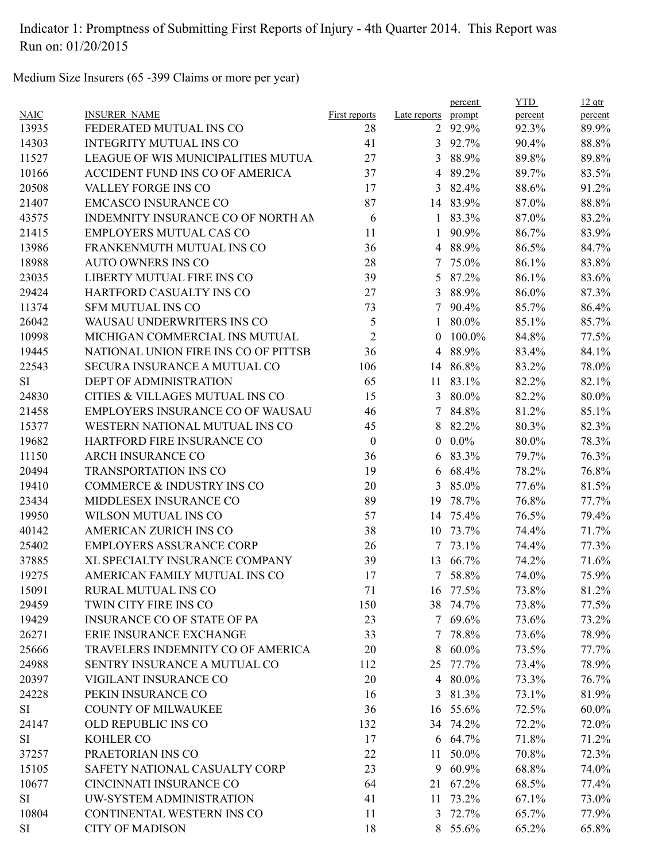Medium Size Insurers (65 -399 Claims or more per year)

|             |                                      |                      |                | percent  | <b>YTD</b> | $12$ qtr |
|-------------|--------------------------------------|----------------------|----------------|----------|------------|----------|
| <b>NAIC</b> | <b>INSURER NAME</b>                  | <b>First reports</b> | Late reports   | prompt   | percent    | percent  |
| 13935       | FEDERATED MUTUAL INS CO              | 28                   | $\overline{2}$ | 92.9%    | 92.3%      | 89.9%    |
| 14303       | <b>INTEGRITY MUTUAL INS CO</b>       | 41                   |                | 3 92.7%  | 90.4%      | 88.8%    |
| 11527       | LEAGUE OF WIS MUNICIPALITIES MUTUA   | 27                   | 3              | 88.9%    | 89.8%      | 89.8%    |
| 10166       | ACCIDENT FUND INS CO OF AMERICA      | 37                   | 4              | 89.2%    | 89.7%      | 83.5%    |
| 20508       | VALLEY FORGE INS CO                  | 17                   | 3              | 82.4%    | 88.6%      | 91.2%    |
| 21407       | <b>EMCASCO INSURANCE CO</b>          | 87                   | 14             | 83.9%    | 87.0%      | 88.8%    |
| 43575       | INDEMNITY INSURANCE CO OF NORTH AN   | 6                    |                | 1 83.3%  | 87.0%      | 83.2%    |
| 21415       | <b>EMPLOYERS MUTUAL CAS CO</b>       | 11                   | 1              | 90.9%    | 86.7%      | 83.9%    |
| 13986       | FRANKENMUTH MUTUAL INS CO            | 36                   | 4              | 88.9%    | 86.5%      | 84.7%    |
| 18988       | <b>AUTO OWNERS INS CO</b>            | 28                   |                | 7 75.0%  | 86.1%      | 83.8%    |
| 23035       | LIBERTY MUTUAL FIRE INS CO           | 39                   | 5              | 87.2%    | 86.1%      | 83.6%    |
| 29424       | HARTFORD CASUALTY INS CO             | 27                   | 3              | 88.9%    | 86.0%      | 87.3%    |
| 11374       | <b>SFM MUTUAL INS CO</b>             | 73                   | 7              | 90.4%    | 85.7%      | 86.4%    |
| 26042       | WAUSAU UNDERWRITERS INS CO           | 5                    | $\mathbf{1}$   | 80.0%    | 85.1%      | 85.7%    |
| 10998       | MICHIGAN COMMERCIAL INS MUTUAL       | $\overline{2}$       | $\theta$       | 100.0%   | 84.8%      | 77.5%    |
| 19445       | NATIONAL UNION FIRE INS CO OF PITTSB | 36                   | $\overline{4}$ | 88.9%    | 83.4%      | 84.1%    |
| 22543       | SECURA INSURANCE A MUTUAL CO         | 106                  | 14             | 86.8%    | 83.2%      | 78.0%    |
| <b>SI</b>   | DEPT OF ADMINISTRATION               | 65                   | 11             | 83.1%    | 82.2%      | 82.1%    |
| 24830       | CITIES & VILLAGES MUTUAL INS CO      | 15                   | 3              | 80.0%    | 82.2%      | 80.0%    |
| 21458       | EMPLOYERS INSURANCE CO OF WAUSAU     | 46                   | 7              | 84.8%    | 81.2%      | 85.1%    |
| 15377       | WESTERN NATIONAL MUTUAL INS CO       | 45                   | 8              | 82.2%    | 80.3%      | 82.3%    |
| 19682       | HARTFORD FIRE INSURANCE CO           | $\mathbf{0}$         | $\theta$       | $0.0\%$  | 80.0%      | 78.3%    |
| 11150       | <b>ARCH INSURANCE CO</b>             | 36                   | 6              | 83.3%    | 79.7%      | 76.3%    |
| 20494       | <b>TRANSPORTATION INS CO</b>         | 19                   |                | 6 68.4%  | 78.2%      | 76.8%    |
| 19410       | COMMERCE & INDUSTRY INS CO           | 20                   | 3              | 85.0%    | 77.6%      | 81.5%    |
| 23434       | MIDDLESEX INSURANCE CO               | 89                   | 19             | 78.7%    | 76.8%      | 77.7%    |
| 19950       | WILSON MUTUAL INS CO                 | 57                   | 14             | 75.4%    | 76.5%      | 79.4%    |
| 40142       | <b>AMERICAN ZURICH INS CO</b>        | 38                   | 10             | 73.7%    | 74.4%      | 71.7%    |
| 25402       | <b>EMPLOYERS ASSURANCE CORP</b>      | 26                   | 7              | 73.1%    | 74.4%      | 77.3%    |
| 37885       | XL SPECIALTY INSURANCE COMPANY       | 39                   | 13             | 66.7%    | 74.2%      | 71.6%    |
| 19275       | AMERICAN FAMILY MUTUAL INS CO        | 17                   |                | 7 58.8%  | 74.0%      | 75.9%    |
| 15091       | RURAL MUTUAL INS CO                  | 71                   |                | 16 77.5% | 73.8%      | 81.2%    |
| 29459       | TWIN CITY FIRE INS CO                | 150                  |                | 38 74.7% | 73.8%      | 77.5%    |
| 19429       | <b>INSURANCE CO OF STATE OF PA</b>   | 23                   |                | 7 69.6%  | 73.6%      | 73.2%    |
| 26271       | ERIE INSURANCE EXCHANGE              | 33                   | $7^{\circ}$    | 78.8%    | 73.6%      | 78.9%    |
| 25666       | TRAVELERS INDEMNITY CO OF AMERICA    | 20                   | 8              | $60.0\%$ | 73.5%      | 77.7%    |
| 24988       | SENTRY INSURANCE A MUTUAL CO         | 112                  | 25             | 77.7%    | 73.4%      | 78.9%    |
| 20397       | VIGILANT INSURANCE CO                | 20                   | 4              | 80.0%    | 73.3%      | 76.7%    |
| 24228       | PEKIN INSURANCE CO                   | 16                   | 3              | 81.3%    | 73.1%      | 81.9%    |
| SI          | <b>COUNTY OF MILWAUKEE</b>           | 36                   |                | 16 55.6% | 72.5%      | 60.0%    |
| 24147       | OLD REPUBLIC INS CO                  | 132                  |                | 34 74.2% | 72.2%      | 72.0%    |
| SI          | KOHLER CO                            | 17                   |                | 6 64.7%  | 71.8%      | 71.2%    |
| 37257       | PRAETORIAN INS CO                    | 22                   | 11             | 50.0%    | 70.8%      | 72.3%    |
| 15105       | SAFETY NATIONAL CASUALTY CORP        | 23                   | 9              | 60.9%    | 68.8%      | 74.0%    |
| 10677       | CINCINNATI INSURANCE CO              | 64                   | 21             | 67.2%    | 68.5%      | 77.4%    |
| SI          | UW-SYSTEM ADMINISTRATION             | 41                   | 11             | 73.2%    | 67.1%      | 73.0%    |
| 10804       | CONTINENTAL WESTERN INS CO           | 11                   | 3              | 72.7%    | 65.7%      | 77.9%    |
| <b>SI</b>   | <b>CITY OF MADISON</b>               | 18                   |                | 8 55.6%  | 65.2%      | 65.8%    |
|             |                                      |                      |                |          |            |          |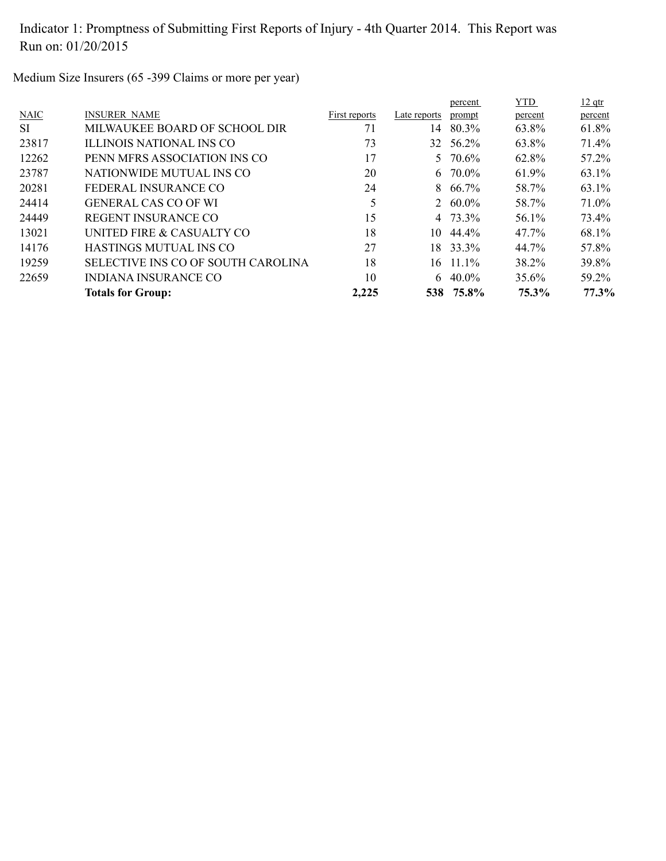Medium Size Insurers (65 -399 Claims or more per year)

|             | <b>Totals for Group:</b>           | 2,225         |              | 538 75.8%  | 75.3%      | 77.3%    |
|-------------|------------------------------------|---------------|--------------|------------|------------|----------|
| 22659       | INDIANA INSURANCE CO               | 10            | 6.           | 40.0%      | 35.6%      | 59.2%    |
| 19259       | SELECTIVE INS CO OF SOUTH CAROLINA | 18            | 16.          | $11.1\%$   | 38.2%      | 39.8%    |
| 14176       | HASTINGS MUTUAL INS CO             | 27            | 18.          | 33.3%      | 44.7%      | 57.8%    |
| 13021       | UNITED FIRE & CASUALTY CO          | 18            | 10           | 44.4%      | 47.7%      | 68.1%    |
| 24449       | REGENT INSURANCE CO                | 15            |              | 4 73.3%    | 56.1%      | 73.4%    |
| 24414       | <b>GENERAL CAS CO OF WI</b>        | 5             |              | 2 $60.0\%$ | 58.7%      | 71.0%    |
| 20281       | FEDERAL INSURANCE CO               | 24            |              | $8,66.7\%$ | 58.7%      | 63.1%    |
| 23787       | NATIONWIDE MUTUAL INS CO           | 20            |              | 6 70.0%    | 61.9%      | 63.1%    |
| 12262       | PENN MFRS ASSOCIATION INS CO       | 17            |              | 5 70.6%    | 62.8%      | 57.2%    |
| 23817       | ILLINOIS NATIONAL INS CO           | 73            | 32           | 56.2%      | 63.8%      | 71.4%    |
| <b>SI</b>   | MILWAUKEE BOARD OF SCHOOL DIR      | 71            | 14           | 80.3%      | 63.8%      | 61.8%    |
| <b>NAIC</b> | <b>INSURER NAME</b>                | First reports | Late reports | prompt     | percent    | percent  |
|             |                                    |               |              | percent    | <b>YTD</b> | $12$ qtr |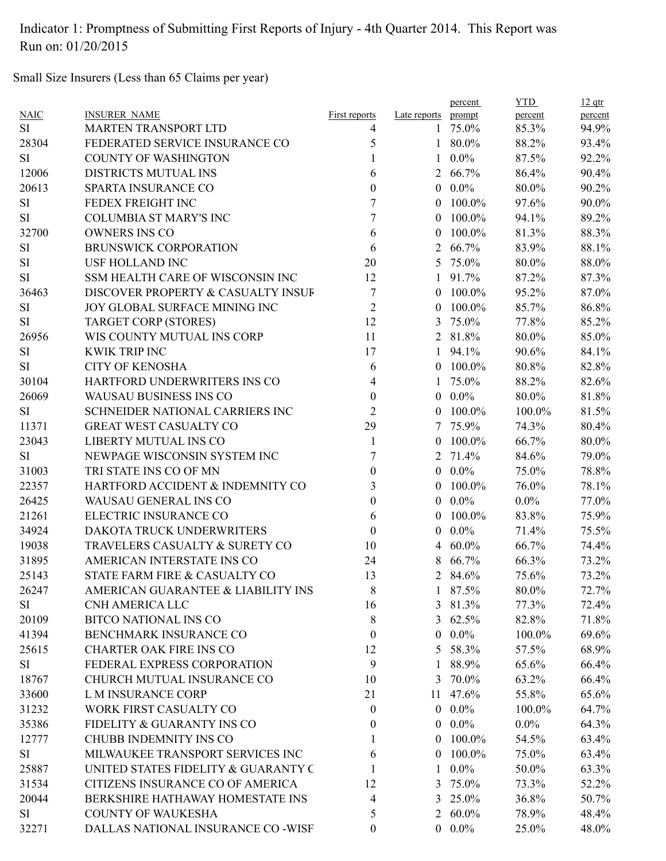Small Size Insurers (Less than 65 Claims per year)

|           |                                     |                  |                | percent    | <b>YTD</b> | $12$ qtr |
|-----------|-------------------------------------|------------------|----------------|------------|------------|----------|
| NAIC      | <b>INSURER NAME</b>                 | First reports    | Late reports   | prompt     | percent    | percent  |
| <b>SI</b> | <b>MARTEN TRANSPORT LTD</b>         | 4                |                | 1 75.0%    | 85.3%      | 94.9%    |
| 28304     | FEDERATED SERVICE INSURANCE CO      | 5                |                | 1 80.0%    | 88.2%      | 93.4%    |
| <b>SI</b> | <b>COUNTY OF WASHINGTON</b>         | 1                | $\mathbf{1}$   | $0.0\%$    | 87.5%      | 92.2%    |
| 12006     | DISTRICTS MUTUAL INS                | 6                | 2              | 66.7%      | 86.4%      | 90.4%    |
| 20613     | SPARTA INSURANCE CO                 | $\theta$         | $\overline{0}$ | $0.0\%$    | 80.0%      | 90.2%    |
| <b>SI</b> | FEDEX FREIGHT INC                   | 7                | $\theta$       | 100.0%     | 97.6%      | 90.0%    |
| <b>SI</b> | <b>COLUMBIA ST MARY'S INC</b>       | 7                | $\theta$       | 100.0%     | 94.1%      | 89.2%    |
| 32700     | <b>OWNERS INS CO</b>                | 6                | $\theta$       | 100.0%     | 81.3%      | 88.3%    |
| SI        | <b>BRUNSWICK CORPORATION</b>        | 6                | $\overline{2}$ | 66.7%      | 83.9%      | 88.1%    |
| <b>SI</b> | <b>USF HOLLAND INC</b>              | 20               | 5              | 75.0%      | 80.0%      | 88.0%    |
| <b>SI</b> | SSM HEALTH CARE OF WISCONSIN INC    | 12               | $\mathbf{1}$   | 91.7%      | 87.2%      | 87.3%    |
| 36463     | DISCOVER PROPERTY & CASUALTY INSUF  | 7                | $\theta$       | 100.0%     | 95.2%      | 87.0%    |
| <b>SI</b> | JOY GLOBAL SURFACE MINING INC       | $\overline{2}$   | $\theta$       | 100.0%     | 85.7%      | 86.8%    |
| <b>SI</b> | TARGET CORP (STORES)                | 12               | 3              | 75.0%      | 77.8%      | 85.2%    |
| 26956     | WIS COUNTY MUTUAL INS CORP          | 11               |                | 2 81.8%    | 80.0%      | 85.0%    |
| <b>SI</b> | <b>KWIK TRIP INC</b>                | 17               |                | 1 94.1%    | 90.6%      | 84.1%    |
| <b>SI</b> | <b>CITY OF KENOSHA</b>              | 6                |                | $0$ 100.0% | 80.8%      | 82.8%    |
| 30104     | HARTFORD UNDERWRITERS INS CO        | 4                |                | 75.0%      | 88.2%      | 82.6%    |
| 26069     | <b>WAUSAU BUSINESS INS CO</b>       | $\theta$         | $\overline{0}$ | $0.0\%$    | 80.0%      | 81.8%    |
| <b>SI</b> | SCHNEIDER NATIONAL CARRIERS INC     | $\overline{2}$   | $\theta$       | 100.0%     | 100.0%     | 81.5%    |
| 11371     | <b>GREAT WEST CASUALTY CO</b>       | 29               | 7              | 75.9%      | 74.3%      | 80.4%    |
| 23043     | LIBERTY MUTUAL INS CO               | 1                | $\theta$       | 100.0%     | 66.7%      | 80.0%    |
| <b>SI</b> | NEWPAGE WISCONSIN SYSTEM INC        | $\overline{7}$   | 2              | 71.4%      | 84.6%      | 79.0%    |
| 31003     | TRI STATE INS CO OF MN              | $\boldsymbol{0}$ |                | $0.0\%$    | 75.0%      | 78.8%    |
| 22357     | HARTFORD ACCIDENT & INDEMNITY CO    | 3                | 0              | 100.0%     | 76.0%      | 78.1%    |
| 26425     | WAUSAU GENERAL INS CO               | $\boldsymbol{0}$ | $\theta$       | $0.0\%$    | $0.0\%$    | 77.0%    |
| 21261     | ELECTRIC INSURANCE CO               | 6                | $\theta$       | 100.0%     | 83.8%      | 75.9%    |
| 34924     | DAKOTA TRUCK UNDERWRITERS           | $\mathbf{0}$     | $\theta$       | $0.0\%$    | 71.4%      | 75.5%    |
| 19038     | TRAVELERS CASUALTY & SURETY CO      | 10               | 4              | $60.0\%$   | 66.7%      | 74.4%    |
| 31895     | AMERICAN INTERSTATE INS CO          | 24               | 8              | 66.7%      | 66.3%      | 73.2%    |
| 25143     | STATE FARM FIRE & CASUALTY CO       | 13               | $\overline{2}$ | 84.6%      | 75.6%      | 73.2%    |
| 26247     | AMERICAN GUARANTEE & LIABILITY INS  | 8                |                | 1 87.5%    | 80.0%      | 72.7%    |
| SI        | <b>CNH AMERICA LLC</b>              | 16               |                | 3 81.3%    | 77.3%      | 72.4%    |
| 20109     | <b>BITCO NATIONAL INS CO</b>        | $8\,$            |                | 3 $62.5%$  | 82.8%      | 71.8%    |
| 41394     | BENCHMARK INSURANCE CO              | $\boldsymbol{0}$ | $\overline{0}$ | $0.0\%$    | 100.0%     | 69.6%    |
| 25615     | <b>CHARTER OAK FIRE INS CO</b>      | 12               | 5              | 58.3%      | 57.5%      | 68.9%    |
| SI        | FEDERAL EXPRESS CORPORATION         | 9                | 1              | 88.9%      | 65.6%      | 66.4%    |
| 18767     | CHURCH MUTUAL INSURANCE CO          | 10               |                | 3 70.0%    | 63.2%      | 66.4%    |
| 33600     | <b>L M INSURANCE CORP</b>           | 21               |                | 11 47.6%   | 55.8%      | 65.6%    |
| 31232     | WORK FIRST CASUALTY CO              | $\boldsymbol{0}$ |                | $0.0\%$    | 100.0%     | 64.7%    |
| 35386     | FIDELITY & GUARANTY INS CO          | $\boldsymbol{0}$ |                | $0.0\%$    | $0.0\%$    | 64.3%    |
| 12777     | <b>CHUBB INDEMNITY INS CO</b>       | 1                | $\overline{0}$ | 100.0%     | 54.5%      | 63.4%    |
| SI        | MILWAUKEE TRANSPORT SERVICES INC    | 6                | $\overline{0}$ | 100.0%     | 75.0%      | 63.4%    |
| 25887     | UNITED STATES FIDELITY & GUARANTY C | 1                | $\mathbf{1}$   | $0.0\%$    | 50.0%      | 63.3%    |
| 31534     | CITIZENS INSURANCE CO OF AMERICA    | 12               |                | 3 75.0%    | 73.3%      | 52.2%    |
|           |                                     |                  |                |            |            |          |
| 20044     | BERKSHIRE HATHAWAY HOMESTATE INS    | 4                |                | 3 25.0%    | 36.8%      | 50.7%    |
| SI        | <b>COUNTY OF WAUKESHA</b>           | 5                |                | 2 $60.0\%$ | 78.9%      | 48.4%    |
| 32271     | DALLAS NATIONAL INSURANCE CO -WISF  | $\boldsymbol{0}$ |                | $0.0\%$    | 25.0%      | 48.0%    |